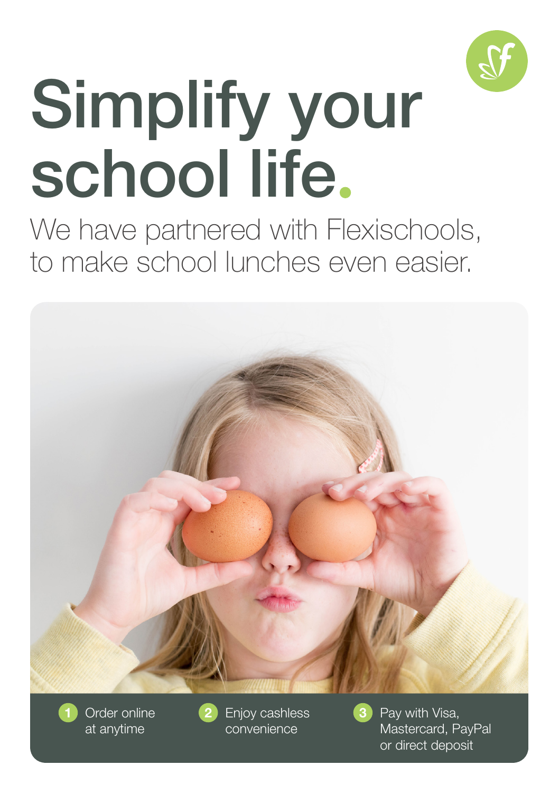

# Simplify your school life.

We have partnered with Flexischools, to make school lunches even easier.



Order online at anytime

Enjoy cashless convenience

Pay with Visa, Mastercard, PayPal or direct deposit

3